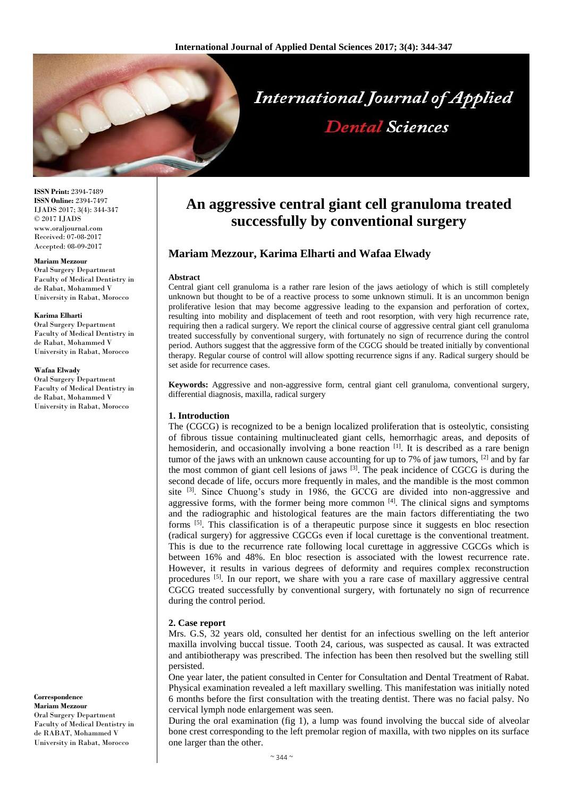

# **International Journal of Applied Dental Sciences**

**ISSN Print:** 2394-7489 **ISSN Online:** 2394-7497 IJADS 2017; 3(4): 344-347 © 2017 IJADS www.oraljournal.com Received: 07-08-2017 Accepted: 08-09-2017

#### **Mariam Mezzour**

Oral Surgery Department Faculty of Medical Dentistry in de Rabat, Mohammed V University in Rabat, Morocco

#### **Karima Elharti**

Oral Surgery Department Faculty of Medical Dentistry in de Rabat, Mohammed V University in Rabat, Morocco

#### **Wafaa Elwady**

Oral Surgery Department Faculty of Medical Dentistry in de Rabat, Mohammed V University in Rabat, Morocco

**Correspondence Mariam Mezzour** Oral Surgery Department Faculty of Medical Dentistry in de RABAT, Mohammed V

University in Rabat, Morocco

# **An aggressive central giant cell granuloma treated successfully by conventional surgery**

# **Mariam Mezzour, Karima Elharti and Wafaa Elwady**

#### **Abstract**

Central giant cell granuloma is a rather rare lesion of the jaws aetiology of which is still completely unknown but thought to be of a reactive process to some unknown stimuli. It is an uncommon benign proliferative lesion that may become aggressive leading to the expansion and perforation of cortex, resulting into mobility and displacement of teeth and root resorption, with very high recurrence rate, requiring then a radical surgery. We report the clinical course of aggressive central giant cell granuloma treated successfully by conventional surgery, with fortunately no sign of recurrence during the control period. Authors suggest that the aggressive form of the CGCG should be treated initially by conventional therapy. Regular course of control will allow spotting recurrence signs if any. Radical surgery should be set aside for recurrence cases.

**Keywords:** Aggressive and non-aggressive form, central giant cell granuloma, conventional surgery, differential diagnosis, maxilla, radical surgery

#### **1. Introduction**

The (CGCG) is recognized to be a benign localized proliferation that is osteolytic, consisting of fibrous tissue containing multinucleated giant cells, hemorrhagic areas, and deposits of hemosiderin, and occasionally involving a bone reaction <sup>[1]</sup>. It is described as a rare benign tumor of the jaws with an unknown cause accounting for up to 7% of jaw tumors,  $^{[2]}$  and by far the most common of giant cell lesions of jaws <sup>[3]</sup>. The peak incidence of CGCG is during the second decade of life, occurs more frequently in males, and the mandible is the most common site  $[3]$ . Since Chuong's study in 1986, the GCCG are divided into non-aggressive and aggressive forms, with the former being more common [4]. The clinical signs and symptoms and the radiographic and histological features are the main factors differentiating the two forms <sup>[5]</sup>. This classification is of a therapeutic purpose since it suggests en bloc resection (radical surgery) for aggressive CGCGs even if local curettage is the conventional treatment. This is due to the recurrence rate following local curettage in aggressive CGCGs which is between 16% and 48%. En bloc resection is associated with the lowest recurrence rate. However, it results in various degrees of deformity and requires complex reconstruction procedures  $[5]$ . In our report, we share with you a rare case of maxillary aggressive central CGCG treated successfully by conventional surgery, with fortunately no sign of recurrence during the control period.

#### **2. Case report**

Mrs. G.S, 32 years old, consulted her dentist for an infectious swelling on the left anterior maxilla involving buccal tissue. Tooth 24, carious, was suspected as causal. It was extracted and antibiotherapy was prescribed. The infection has been then resolved but the swelling still persisted.

One year later, the patient consulted in Center for Consultation and Dental Treatment of Rabat. Physical examination revealed a left maxillary swelling. This manifestation was initially noted 6 months before the first consultation with the treating dentist. There was no facial palsy. No cervical lymph node enlargement was seen.

During the oral examination (fig 1), a lump was found involving the buccal side of alveolar bone crest corresponding to the left premolar region of maxilla, with two nipples on its surface one larger than the other.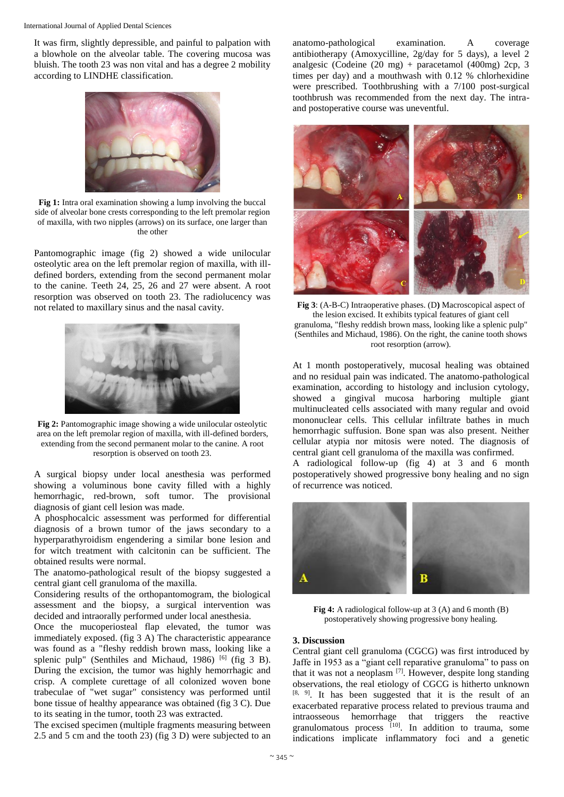#### International Journal of Applied Dental Sciences

It was firm, slightly depressible, and painful to palpation with a blowhole on the alveolar table. The covering mucosa was bluish. The tooth 23 was non vital and has a degree 2 mobility according to LINDHE classification.



**Fig 1:** Intra oral examination showing a lump involving the buccal side of alveolar bone crests corresponding to the left premolar region of maxilla, with two nipples (arrows) on its surface, one larger than the other

Pantomographic image (fig 2) showed a wide unilocular osteolytic area on the left premolar region of maxilla, with illdefined borders, extending from the second permanent molar to the canine. Teeth 24, 25, 26 and 27 were absent. A root resorption was observed on tooth 23. The radiolucency was not related to maxillary sinus and the nasal cavity.



**Fig 2:** Pantomographic image showing a wide unilocular osteolytic area on the left premolar region of maxilla, with ill-defined borders, extending from the second permanent molar to the canine. A root resorption is observed on tooth 23.

A surgical biopsy under local anesthesia was performed showing a voluminous bone cavity filled with a highly hemorrhagic, red-brown, soft tumor. The provisional diagnosis of giant cell lesion was made.

A phosphocalcic assessment was performed for differential diagnosis of a brown tumor of the jaws secondary to a hyperparathyroidism engendering a similar bone lesion and for witch treatment with calcitonin can be sufficient. The obtained results were normal.

The anatomo-pathological result of the biopsy suggested a central giant cell granuloma of the maxilla.

Considering results of the orthopantomogram, the biological assessment and the biopsy, a surgical intervention was decided and intraorally performed under local anesthesia.

Once the mucoperiosteal flap elevated, the tumor was immediately exposed. (fig 3 A) The characteristic appearance was found as a "fleshy reddish brown mass, looking like a splenic pulp" (Senthiles and Michaud, 1986)  $[6]$  (fig 3 B). During the excision, the tumor was highly hemorrhagic and crisp. A complete curettage of all colonized woven bone trabeculae of "wet sugar" consistency was performed until bone tissue of healthy appearance was obtained (fig 3 C). Due to its seating in the tumor, tooth 23 was extracted.

The excised specimen (multiple fragments measuring between 2.5 and 5 cm and the tooth 23) (fig 3 D) were subjected to an anatomo-pathological examination. A coverage antibiotherapy (Amoxycilline, 2g/day for 5 days), a level 2 analgesic (Codeine (20 mg) + paracetamol (400mg) 2cp, 3 times per day) and a mouthwash with 0.12 % chlorhexidine were prescribed. Toothbrushing with a 7/100 post-surgical toothbrush was recommended from the next day. The intraand postoperative course was uneventful.



**Fig 3**: (A-B-C) Intraoperative phases. (D**)** Macroscopical aspect of the lesion excised. It exhibits typical features of giant cell granuloma, "fleshy reddish brown mass, looking like a splenic pulp" (Senthiles and Michaud, 1986). On the right, the canine tooth shows root resorption (arrow).

At 1 month postoperatively, mucosal healing was obtained and no residual pain was indicated. The anatomo-pathological examination, according to histology and inclusion cytology, showed a gingival mucosa harboring multiple giant multinucleated cells associated with many regular and ovoid mononuclear cells. This cellular infiltrate bathes in much hemorrhagic suffusion. Bone span was also present. Neither cellular atypia nor mitosis were noted. The diagnosis of central giant cell granuloma of the maxilla was confirmed.

A radiological follow-up (fig 4) at 3 and 6 month postoperatively showed progressive bony healing and no sign of recurrence was noticed.



**Fig 4:** A radiological follow-up at 3 (A) and 6 month (B) postoperatively showing progressive bony healing.

#### **3. Discussion**

Central giant cell granuloma (CGCG) was first introduced by Jaffe in 1953 as a "giant cell reparative granuloma" to pass on that it was not a neoplasm  $[7]$ . However, despite long standing observations, the real etiology of CGCG is hitherto unknown [8, 9]. It has been suggested that it is the result of an exacerbated reparative process related to previous trauma and intraosseous hemorrhage that triggers the reactive granulomatous process [10]. In addition to trauma, some indications implicate inflammatory foci and a genetic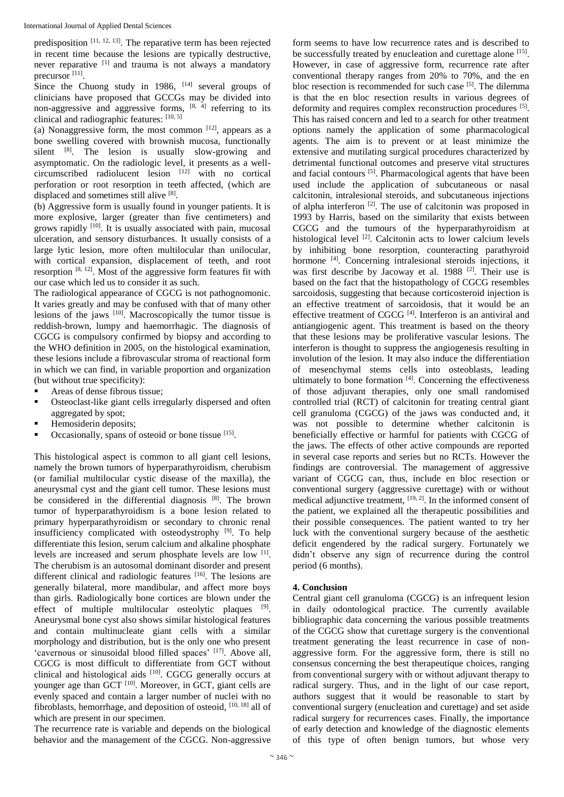predisposition  $[11, 12, 13]$ . The reparative term has been rejected in recent time because the lesions are typically destructive, never reparative [1] and trauma is not always a mandatory precursor [11].

Since the Chuong study in 1986,  $[14]$  several groups of clinicians have proposed that GCCGs may be divided into non-aggressive and aggressive forms,  $[8, 4]$  referring to its clinical and radiographic features:  $[10, 5]$ 

(a) Nonaggressive form, the most common  $[12]$ , appears as a bone swelling covered with brownish mucosa, functionally silent  $[8]$ . The lesion is usually slow-growing and asymptomatic. On the radiologic level, it presents as a wellcircumscribed radiolucent lesion [12] with no cortical perforation or root resorption in teeth affected, (which are displaced and sometimes still alive [8].

(b) Aggressive form is usually found in younger patients. It is more explosive, larger (greater than five centimeters) and grows rapidly <sup>[10]</sup>. It is usually associated with pain, mucosal ulceration, and sensory disturbances. It usually consists of a large lytic lesion, more often multilocular than unilocular, with cortical expansion, displacement of teeth, and root resorption  $[8, 12]$ . Most of the aggressive form features fit with our case which led us to consider it as such.

The radiological appearance of CGCG is not pathognomonic. It varies greatly and may be confused with that of many other lesions of the jaws [10]. Macroscopically the tumor tissue is reddish-brown, lumpy and haemorrhagic. The diagnosis of CGCG is compulsory confirmed by biopsy and according to the WHO definition in 2005, on the histological examination, these lesions include a fibrovascular stroma of reactional form in which we can find, in variable proportion and organization (but without true specificity):

- Areas of dense fibrous tissue;
- Osteoclast-like giant cells irregularly dispersed and often aggregated by spot;
- Hemosiderin deposits;
- Occasionally, spans of osteoid or bone tissue [15].

This histological aspect is common to all giant cell lesions, namely the brown tumors of hyperparathyroidism, cherubism (or familial multilocular cystic disease of the maxilla), the aneurysmal cyst and the giant cell tumor. These lesions must be considered in the differential diagnosis [8]. The brown tumor of hyperparathyroidism is a bone lesion related to primary hyperparathyroidism or secondary to chronic renal insufficiency complicated with osteodystrophy<sup>[9]</sup>. To help differentiate this lesion, serum calcium and alkaline phosphate levels are increased and serum phosphate levels are low [1]. The cherubism is an autosomal dominant disorder and present different clinical and radiologic features [16]. The lesions are generally bilateral, more mandibular, and affect more boys than girls. Radiologically bone cortices are blown under the effect of multiple multilocular osteolytic plaques [9]. Aneurysmal bone cyst also shows similar histological features and contain multinucleate giant cells with a similar morphology and distribution, but is the only one who present 'cavernous or sinusoidal blood filled spaces' [17]. Above all, CGCG is most difficult to differentiate from GCT without clinical and histological aids [10]. CGCG generally occurs at younger age than GCT [10]. Moreover, in GCT, giant cells are evenly spaced and contain a larger number of nuclei with no fibroblasts, hemorrhage, and deposition of osteoid, [10, 18] all of which are present in our specimen.

The recurrence rate is variable and depends on the biological behavior and the management of the CGCG. Non-aggressive

form seems to have low recurrence rates and is described to be successfully treated by enucleation and curettage alone [15]. However, in case of aggressive form, recurrence rate after conventional therapy ranges from 20% to 70%, and the en bloc resection is recommended for such case <sup>[5]</sup>. The dilemma is that the en bloc resection results in various degrees of deformity and requires complex reconstruction procedures [5]. This has raised concern and led to a search for other treatment options namely the application of some pharmacological agents. The aim is to prevent or at least minimize the extensive and mutilating surgical procedures characterized by detrimental functional outcomes and preserve vital structures and facial contours<sup>[5]</sup>. Pharmacological agents that have been used include the application of subcutaneous or nasal calcitonin, intralesional steroids, and subcutaneous injections of alpha interferon <sup>[2]</sup>. The use of calcitonin was proposed in 1993 by Harris, based on the similarity that exists between CGCG and the tumours of the hyperparathyroidism at histological level <sup>[2]</sup>. Calcitonin acts to lower calcium levels by inhibiting bone resorption, counteracting parathyroid hormone <sup>[4]</sup>. Concerning intralesional steroids injections, it was first describe by Jacoway et al. 1988<sup>[2]</sup>. Their use is based on the fact that the histopathology of CGCG resembles sarcoidosis, suggesting that because corticosteroid injection is an effective treatment of sarcoidosis, that it would be an effective treatment of CGCG<sup>[4]</sup>. Interferon is an antiviral and antiangiogenic agent. This treatment is based on the theory that these lesions may be proliferative vascular lesions. The interferon is thought to suppress the angiogenesis resulting in involution of the lesion. It may also induce the differentiation of mesenchymal stems cells into osteoblasts, leading ultimately to bone formation [4]. Concerning the effectiveness of those adjuvant therapies, only one small randomised controlled trial (RCT) of calcitonin for treating central giant cell granuloma (CGCG) of the jaws was conducted and, it was not possible to determine whether calcitonin is beneficially effective or harmful for patients with CGCG of the jaws. The effects of other active compounds are reported in several case reports and series but no RCTs. However the findings are controversial. The management of aggressive variant of CGCG can, thus, include en bloc resection or conventional surgery (aggressive curettage) with or without medical adjunctive treatment,  $[19, 2]$ . In the informed consent of the patient, we explained all the therapeutic possibilities and their possible consequences. The patient wanted to try her luck with the conventional surgery because of the aesthetic deficit engendered by the radical surgery. Fortunately we didn't observe any sign of recurrence during the control period (6 months).

### **4. Conclusion**

Central giant cell granuloma (CGCG) is an infrequent lesion in daily odontological practice. The currently available bibliographic data concerning the various possible treatments of the CGCG show that curettage surgery is the conventional treatment generating the least recurrence in case of nonaggressive form. For the aggressive form, there is still no consensus concerning the best therapeutique choices, ranging from conventional surgery with or without adjuvant therapy to radical surgery. Thus, and in the light of our case report, authors suggest that it would be reasonable to start by conventional surgery (enucleation and curettage) and set aside radical surgery for recurrences cases. Finally, the importance of early detection and knowledge of the diagnostic elements of this type of often benign tumors, but whose very